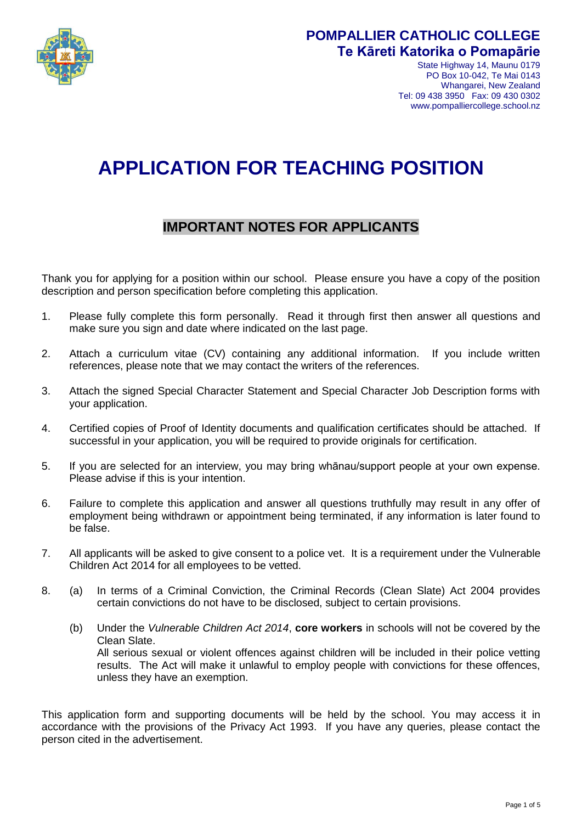

## **POMPALLIER CATHOLIC COLLEGE Te Kāreti Katorika o Pomapārie**

State Highway 14, Maunu 0179 PO Box 10-042, Te Mai 0143 Whangarei, New Zealand Tel: 09 438 3950 Fax: 09 430 0302 www.pompalliercollege.school.nz

# **APPLICATION FOR TEACHING POSITION**

### **IMPORTANT NOTES FOR APPLICANTS**

Thank you for applying for a position within our school. Please ensure you have a copy of the position description and person specification before completing this application.

- 1. Please fully complete this form personally. Read it through first then answer all questions and make sure you sign and date where indicated on the last page.
- 2. Attach a curriculum vitae (CV) containing any additional information. If you include written references, please note that we may contact the writers of the references.
- 3. Attach the signed Special Character Statement and Special Character Job Description forms with your application.
- 4. Certified copies of Proof of Identity documents and qualification certificates should be attached. If successful in your application, you will be required to provide originals for certification.
- 5. If you are selected for an interview, you may bring whānau/support people at your own expense. Please advise if this is your intention.
- 6. Failure to complete this application and answer all questions truthfully may result in any offer of employment being withdrawn or appointment being terminated, if any information is later found to be false.
- 7. All applicants will be asked to give consent to a police vet. It is a requirement under the Vulnerable Children Act 2014 for all employees to be vetted.
- 8. (a) In terms of a Criminal Conviction, the Criminal Records (Clean Slate) Act 2004 provides certain convictions do not have to be disclosed, subject to certain provisions.
	- (b) Under the *Vulnerable Children Act 2014*, **core workers** in schools will not be covered by the Clean Slate. All serious sexual or violent offences against children will be included in their police vetting results. The Act will make it unlawful to employ people with convictions for these offences, unless they have an exemption.

This application form and supporting documents will be held by the school. You may access it in accordance with the provisions of the Privacy Act 1993. If you have any queries, please contact the person cited in the advertisement.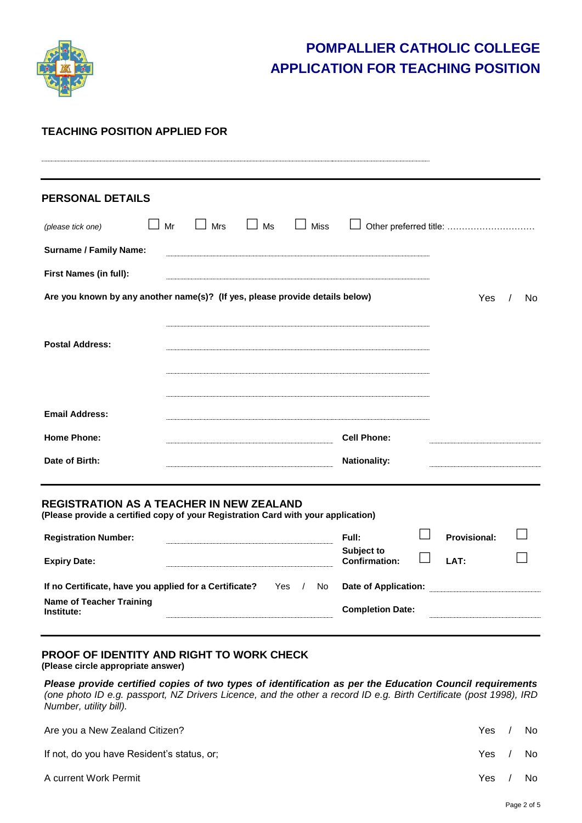

## **POMPALLIER CATHOLIC COLLEGE APPLICATION FOR TEACHING POSITION**

#### **TEACHING POSITION APPLIED FOR**

| <b>PERSONAL DETAILS</b>                                                      |    |     |               |             |                     |                        |     |     |
|------------------------------------------------------------------------------|----|-----|---------------|-------------|---------------------|------------------------|-----|-----|
| (please tick one)                                                            | Mr | Mrs | Ms<br>$\perp$ | <b>Miss</b> |                     | Other preferred title: |     |     |
| <b>Surname / Family Name:</b>                                                |    |     |               |             |                     |                        |     |     |
| First Names (in full):                                                       |    |     |               |             |                     |                        |     |     |
| Are you known by any another name(s)? (If yes, please provide details below) |    |     |               |             |                     |                        | Yes | No. |
|                                                                              |    |     |               |             |                     |                        |     |     |
| <b>Postal Address:</b>                                                       |    |     |               |             |                     |                        |     |     |
|                                                                              |    |     |               |             |                     |                        |     |     |
|                                                                              |    |     |               |             |                     |                        |     |     |
| <b>Email Address:</b>                                                        |    |     |               |             |                     |                        |     |     |
| <b>Home Phone:</b>                                                           |    |     |               |             | <b>Cell Phone:</b>  |                        |     |     |
|                                                                              |    |     |               |             | <b>Nationality:</b> |                        |     |     |
| Date of Birth:                                                               |    |     |               |             |                     |                        |     |     |

**(Please provide a certified copy of your Registration Card with your application)**

| <b>Registration Number:</b>                                            | Full:                              | <b>Provisional:</b> |  |
|------------------------------------------------------------------------|------------------------------------|---------------------|--|
| <b>Expiry Date:</b>                                                    | Subject to<br><b>Confirmation:</b> | IAT:                |  |
| If no Certificate, have you applied for a Certificate?<br>Yes /<br>No. | Date of Application:               |                     |  |
| Name of Teacher Training<br>Institute:                                 | <b>Completion Date:</b>            |                     |  |

#### **PROOF OF IDENTITY AND RIGHT TO WORK CHECK (Please circle appropriate answer)**

*Please provide certified copies of two types of identification as per the Education Council requirements (one photo ID e.g. passport, NZ Drivers Licence, and the other a record ID e.g. Birth Certificate (post 1998), IRD Number, utility bill).*

| Are you a New Zealand Citizen?             | Yes. | No. |
|--------------------------------------------|------|-----|
| If not, do you have Resident's status, or; | Yes. | No. |
| A current Work Permit                      | Yes. | No. |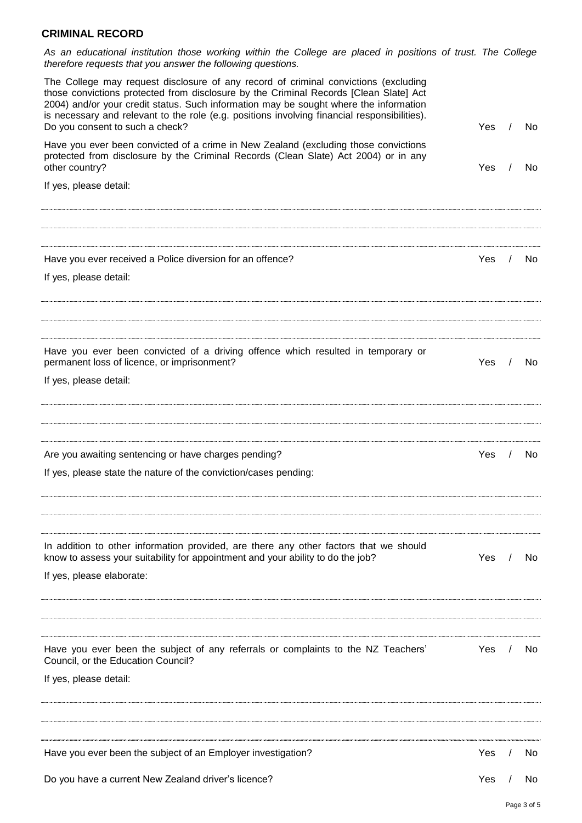#### **CRIMINAL RECORD**

*As an educational institution those working within the College are placed in positions of trust. The College therefore requests that you answer the following questions.*

| Have you ever been convicted of a crime in New Zealand (excluding those convictions<br>protected from disclosure by the Criminal Records (Clean Slate) Act 2004) or in any<br>other country?<br>Yes<br>If yes, please detail:<br>Have you ever received a Police diversion for an offence?<br>Yes<br>If yes, please detail:<br>Have you ever been convicted of a driving offence which resulted in temporary or<br>permanent loss of licence, or imprisonment?<br>Yes<br>If yes, please detail:<br>Are you awaiting sentencing or have charges pending?<br>Yes<br>If yes, please state the nature of the conviction/cases pending:<br>In addition to other information provided, are there any other factors that we should<br>know to assess your suitability for appointment and your ability to do the job?<br>Yes<br>If yes, please elaborate:<br>Have you ever been the subject of any referrals or complaints to the NZ Teachers'<br>Yes<br>Council, or the Education Council? | No. |
|--------------------------------------------------------------------------------------------------------------------------------------------------------------------------------------------------------------------------------------------------------------------------------------------------------------------------------------------------------------------------------------------------------------------------------------------------------------------------------------------------------------------------------------------------------------------------------------------------------------------------------------------------------------------------------------------------------------------------------------------------------------------------------------------------------------------------------------------------------------------------------------------------------------------------------------------------------------------------------------|-----|
|                                                                                                                                                                                                                                                                                                                                                                                                                                                                                                                                                                                                                                                                                                                                                                                                                                                                                                                                                                                      |     |
|                                                                                                                                                                                                                                                                                                                                                                                                                                                                                                                                                                                                                                                                                                                                                                                                                                                                                                                                                                                      |     |
|                                                                                                                                                                                                                                                                                                                                                                                                                                                                                                                                                                                                                                                                                                                                                                                                                                                                                                                                                                                      |     |
|                                                                                                                                                                                                                                                                                                                                                                                                                                                                                                                                                                                                                                                                                                                                                                                                                                                                                                                                                                                      | No. |
|                                                                                                                                                                                                                                                                                                                                                                                                                                                                                                                                                                                                                                                                                                                                                                                                                                                                                                                                                                                      |     |
|                                                                                                                                                                                                                                                                                                                                                                                                                                                                                                                                                                                                                                                                                                                                                                                                                                                                                                                                                                                      |     |
|                                                                                                                                                                                                                                                                                                                                                                                                                                                                                                                                                                                                                                                                                                                                                                                                                                                                                                                                                                                      |     |
|                                                                                                                                                                                                                                                                                                                                                                                                                                                                                                                                                                                                                                                                                                                                                                                                                                                                                                                                                                                      | No. |
|                                                                                                                                                                                                                                                                                                                                                                                                                                                                                                                                                                                                                                                                                                                                                                                                                                                                                                                                                                                      |     |
|                                                                                                                                                                                                                                                                                                                                                                                                                                                                                                                                                                                                                                                                                                                                                                                                                                                                                                                                                                                      |     |
|                                                                                                                                                                                                                                                                                                                                                                                                                                                                                                                                                                                                                                                                                                                                                                                                                                                                                                                                                                                      | No. |
|                                                                                                                                                                                                                                                                                                                                                                                                                                                                                                                                                                                                                                                                                                                                                                                                                                                                                                                                                                                      |     |
|                                                                                                                                                                                                                                                                                                                                                                                                                                                                                                                                                                                                                                                                                                                                                                                                                                                                                                                                                                                      |     |
|                                                                                                                                                                                                                                                                                                                                                                                                                                                                                                                                                                                                                                                                                                                                                                                                                                                                                                                                                                                      |     |
|                                                                                                                                                                                                                                                                                                                                                                                                                                                                                                                                                                                                                                                                                                                                                                                                                                                                                                                                                                                      | No. |
|                                                                                                                                                                                                                                                                                                                                                                                                                                                                                                                                                                                                                                                                                                                                                                                                                                                                                                                                                                                      |     |
|                                                                                                                                                                                                                                                                                                                                                                                                                                                                                                                                                                                                                                                                                                                                                                                                                                                                                                                                                                                      |     |
| If yes, please detail:                                                                                                                                                                                                                                                                                                                                                                                                                                                                                                                                                                                                                                                                                                                                                                                                                                                                                                                                                               | No. |
|                                                                                                                                                                                                                                                                                                                                                                                                                                                                                                                                                                                                                                                                                                                                                                                                                                                                                                                                                                                      |     |
| Have you ever been the subject of an Employer investigation?<br>Yes                                                                                                                                                                                                                                                                                                                                                                                                                                                                                                                                                                                                                                                                                                                                                                                                                                                                                                                  |     |
| Do you have a current New Zealand driver's licence?<br>Yes                                                                                                                                                                                                                                                                                                                                                                                                                                                                                                                                                                                                                                                                                                                                                                                                                                                                                                                           | No  |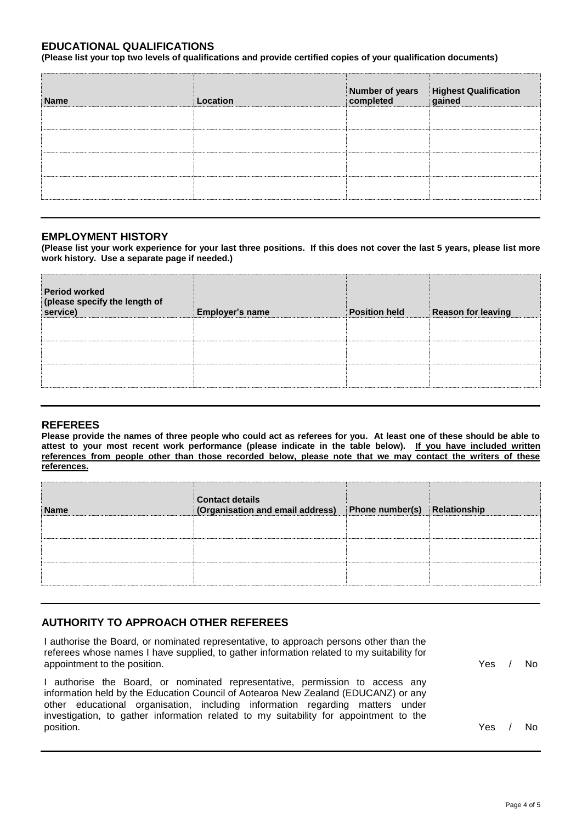#### **EDUCATIONAL QUALIFICATIONS**

**(Please list your top two levels of qualifications and provide certified copies of your qualification documents)**

| Location | Highest Qualification<br>gained |
|----------|---------------------------------|
|          |                                 |
|          |                                 |
|          |                                 |
|          |                                 |
|          | Number of years<br>completed    |

#### **EMPLOYMENT HISTORY**

**(Please list your work experience for your last three positions. If this does not cover the last 5 years, please list more work history. Use a separate page if needed.)**

| <b>Period worked</b><br>(please specify the length of<br>service) | <b>Employer's name</b> | <b>Position held</b> | <b>Reason for leaving</b> |
|-------------------------------------------------------------------|------------------------|----------------------|---------------------------|
|                                                                   |                        |                      |                           |

#### **REFEREES**

**Please provide the names of three people who could act as referees for you. At least one of these should be able to attest to your most recent work performance (please indicate in the table below). If you have included written references from people other than those recorded below, please note that we may contact the writers of these references.**

| <b>Name</b> | Contact details<br>(Organisation and email address) | Phone number(s) Relationship |  |
|-------------|-----------------------------------------------------|------------------------------|--|
|             |                                                     |                              |  |
|             |                                                     |                              |  |
|             |                                                     |                              |  |

#### **AUTHORITY TO APPROACH OTHER REFEREES**

I authorise the Board, or nominated representative, to approach persons other than the referees whose names I have supplied, to gather information related to my suitability for appointment to the position. The set of the position of the position of the set of the set of the set of the set of the set of the set of the set of the set of the set of the set of the set of the set of the set of the set

I authorise the Board, or nominated representative, permission to access any information held by the Education Council of Aotearoa New Zealand (EDUCANZ) or any other educational organisation, including information regarding matters under investigation, to gather information related to my suitability for appointment to the position. Yes / No